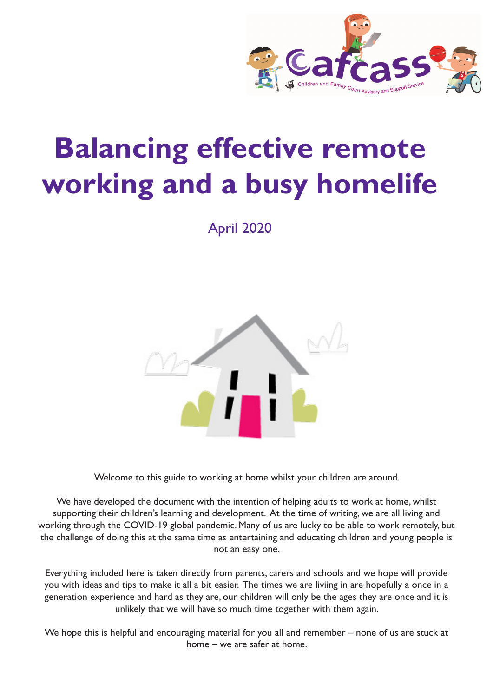

# **Balancing effective remote working and a busy homelife**

April 2020



Welcome to this guide to working at home whilst your children are around.

We have developed the document with the intention of helping adults to work at home, whilst supporting their children's learning and development. At the time of writing, we are all living and working through the COVID-19 global pandemic. Many of us are lucky to be able to work remotely, but the challenge of doing this at the same time as entertaining and educating children and young people is not an easy one.

Everything included here is taken directly from parents, carers and schools and we hope will provide you with ideas and tips to make it all a bit easier. The times we are liviing in are hopefully a once in a generation experience and hard as they are, our children will only be the ages they are once and it is unlikely that we will have so much time together with them again.

We hope this is helpful and encouraging material for you all and remember – none of us are stuck at home – we are safer at home.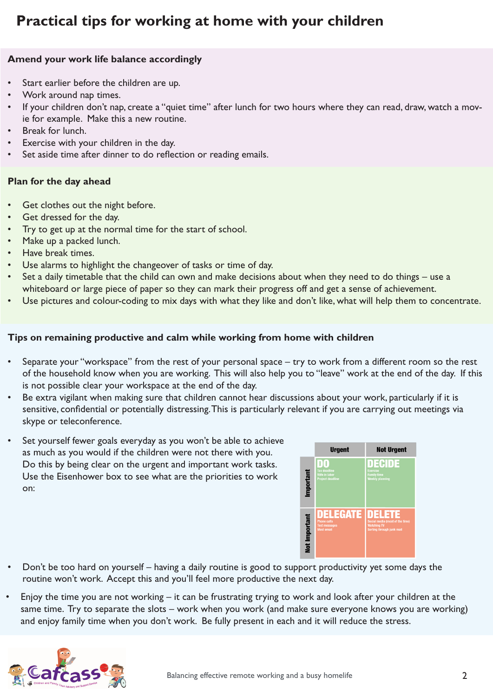# **Practical tips for working at home with your children**

## **Amend your work life balance accordingly**

- Start earlier before the children are up.
- Work around nap times.
- If your children don't nap, create a "quiet time" after lunch for two hours where they can read, draw, watch a movie for example. Make this a new routine.
- Break for lunch.
- Exercise with your children in the day.
- Set aside time after dinner to do reflection or reading emails.

#### **Plan for the day ahead**

- Get clothes out the night before.
- Get dressed for the day.
- Try to get up at the normal time for the start of school.
- Make up a packed lunch.
- Have break times.
- Use alarms to highlight the changeover of tasks or time of day.
- Set a daily timetable that the child can own and make decisions about when they need to do things use a whiteboard or large piece of paper so they can mark their progress off and get a sense of achievement.
- Use pictures and colour-coding to mix days with what they like and don't like, what will help them to concentrate.

#### **Tips on remaining productive and calm while working from home with children**

- Separate your "workspace" from the rest of your personal space try to work from a different room so the rest of the household know when you are working. This will also help you to "leave" work at the end of the day. If this is not possible clear your workspace at the end of the day.
- Be extra vigilant when making sure that children cannot hear discussions about your work, particularly if it is sensitive, confidential or potentially distressing. This is particularly relevant if you are carrying out meetings via skype or teleconference.
- Set yourself fewer goals everyday as you won't be able to achieve as much as you would if the children were not there with you. Do this by being clear on the urgent and important work tasks. Use the Eisenhower box to see what are the priorities to work on:



- Don't be too hard on yourself having a daily routine is good to support productivity yet some days the routine won't work. Accept this and you'll feel more productive the next day.
- Enjoy the time you are not working it can be frustrating trying to work and look after your children at the same time. Try to separate the slots – work when you work (and make sure everyone knows you are working) and enjoy family time when you don't work. Be fully present in each and it will reduce the stress.

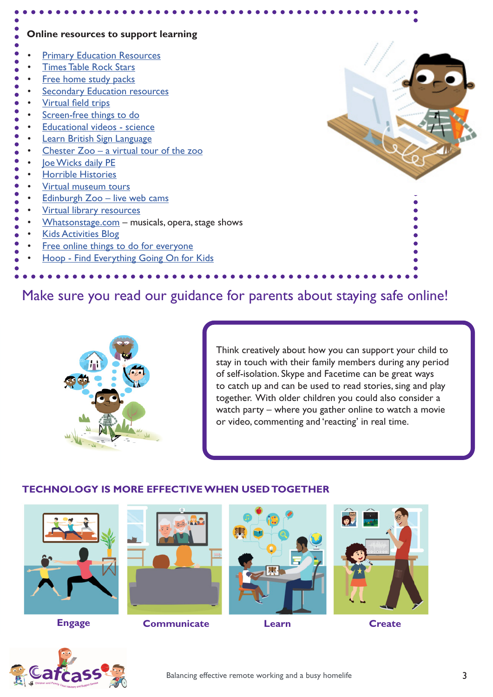| Online resources to support learning                          |  |
|---------------------------------------------------------------|--|
| <b>Primary Education Resources</b>                            |  |
| <b>Times Table Rock Stars</b>                                 |  |
| Free home study packs<br><b>Secondary Education resources</b> |  |
| Virtual field trips                                           |  |
| Screen-free things to do                                      |  |
| <b>Educational videos - science</b>                           |  |
| Learn British Sign Language                                   |  |
| Chester $Zoo - a$ virtual tour of the zoo                     |  |
| loe Wicks daily PE                                            |  |
| <b>Horrible Histories</b>                                     |  |
| Virtual museum tours                                          |  |
| Edinburgh Zoo - live web cams                                 |  |
| <b>Virtual library resources</b>                              |  |
| Whatsonstage.com - musicals, opera, stage shows               |  |
| <b>Kids Activities Blog</b>                                   |  |
| Free online things to do for everyone                         |  |
| Hoop - Find Everything Going On for Kids                      |  |
|                                                               |  |

# Make sure you read our guidance for parents about staying safe online!



Think creatively about how you can support your child to stay in touch with their family members during any period of self-isolation. Skype and Facetime can be great ways to catch up and can be used to read stories, sing and play together. With older children you could also consider a watch party – where you gather online to watch a movie or video, commenting and 'reacting' in real time.

# **TECHNOLOGY IS MORE EFFECTIVE WHEN USED TOGETHER**





**Engage Communicate Learn Create**







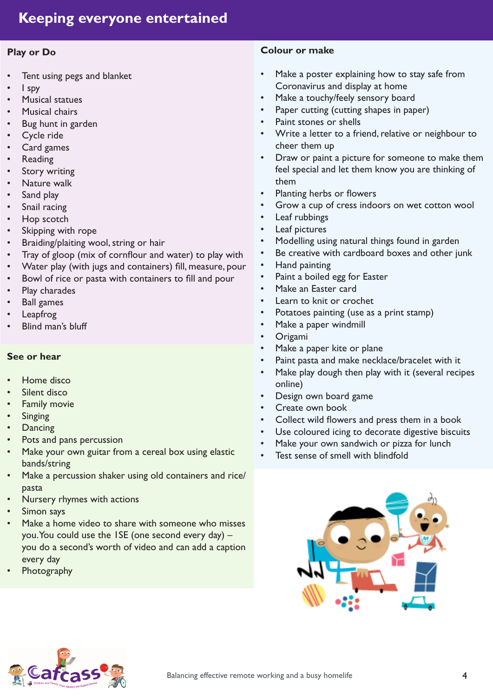## **Play or Do**

- Tent using pegs and blanket
- I spy
- **Musical statues**
- Musical chairs
- Bug hunt in garden
- Cycle ride
- Card games
- **Reading**
- Story writing
- Nature walk
- Sand play
- Snail racing
- Hop scotch
- Skipping with rope
- Braiding/plaiting wool, string or hair
- Tray of gloop (mix of cornflour and water) to play with
- Water play (with jugs and containers) fill, measure, pour
- Bowl of rice or pasta with containers to fill and pour
- Play charades
- Ball games
- **Leapfrog**
- Blind man's bluff

## **See or hear**

- Home disco
- Silent disco
- **Family movie**
- **Singing**
- **Dancing**
- Pots and pans percussion
- Make your own guitar from a cereal box using elastic bands/string
- Make a percussion shaker using old containers and rice/ pasta
- Nursery rhymes with actions
- Simon says
- Make a home video to share with someone who misses you. You could use the 1SE (one second every day) – you do a second's worth of video and can add a caption every day
- **Photography**

#### **Colour or make**

- Make a poster explaining how to stay safe from Coronavirus and display at home
- Make a touchy/feely sensory board
- Paper cutting (cutting shapes in paper)
- Paint stones or shells
- Write a letter to a friend, relative or neighbour to cheer them up
- Draw or paint a picture for someone to make them feel special and let them know you are thinking of them
- Planting herbs or flowers
- Grow a cup of cress indoors on wet cotton wool
- Leaf rubbings
- Leaf pictures
- Modelling using natural things found in garden
- Be creative with cardboard boxes and other junk
- Hand painting
- Paint a boiled egg for Easter
- Make an Easter card
- Learn to knit or crochet
- Potatoes painting (use as a print stamp)
- Make a paper windmill
- **Origami**
- Make a paper kite or plane
- Paint pasta and make necklace/bracelet with it
- Make play dough then play with it (several recipes online)
- Design own board game
- Create own book
- Collect wild flowers and press them in a book
- Use coloured icing to decorate digestive biscuits
- Make your own sandwich or pizza for lunch
- Test sense of smell with blindfold



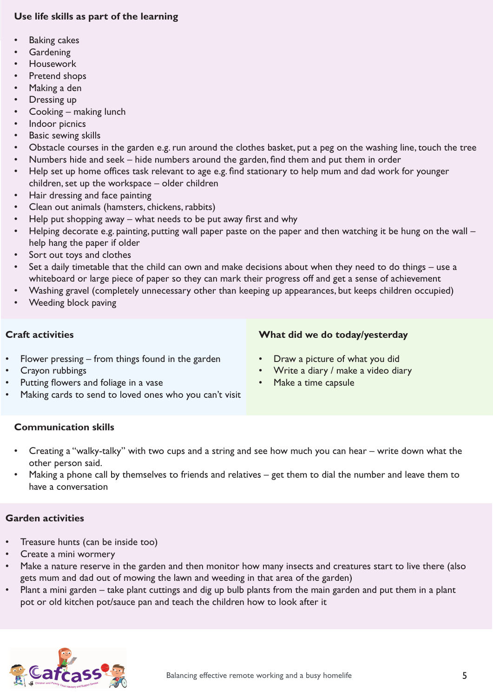# **Use life skills as part of the learning**

- **Baking cakes**
- **Gardening**
- **Housework**
- Pretend shops
- Making a den
- Dressing up
- Cooking making lunch
- Indoor picnics
- Basic sewing skills
- Obstacle courses in the garden e.g. run around the clothes basket, put a peg on the washing line, touch the tree
- Numbers hide and seek hide numbers around the garden, find them and put them in order
- Help set up home offices task relevant to age e.g. find stationary to help mum and dad work for younger children, set up the workspace – older children
- Hair dressing and face painting
- Clean out animals (hamsters, chickens, rabbits)
- Help put shopping away what needs to be put away first and why
- Helping decorate e.g. painting, putting wall paper paste on the paper and then watching it be hung on the wall help hang the paper if older
- Sort out toys and clothes
- Set a daily timetable that the child can own and make decisions about when they need to do things use a whiteboard or large piece of paper so they can mark their progress off and get a sense of achievement
- Washing gravel (completely unnecessary other than keeping up appearances, but keeps children occupied)
- Weeding block paving

# **Craft activities**

- Flower pressing  $-$  from things found in the garden
- **What did we do today/yesterday**
- 
- Draw a picture of what you did
- Write a diary / make a video diary
- Make a time capsule
- Crayon rubbings Putting flowers and foliage in a vase
- Making cards to send to loved ones who you can't visit

## **Communication skills**

- Creating a "walky-talky" with two cups and a string and see how much you can hear write down what the other person said.
- Making a phone call by themselves to friends and relatives get them to dial the number and leave them to have a conversation

#### **Garden activities**

- Treasure hunts (can be inside too)
- Create a mini wormery
- Make a nature reserve in the garden and then monitor how many insects and creatures start to live there (also gets mum and dad out of mowing the lawn and weeding in that area of the garden)
- Plant a mini garden take plant cuttings and dig up bulb plants from the main garden and put them in a plant pot or old kitchen pot/sauce pan and teach the children how to look after it

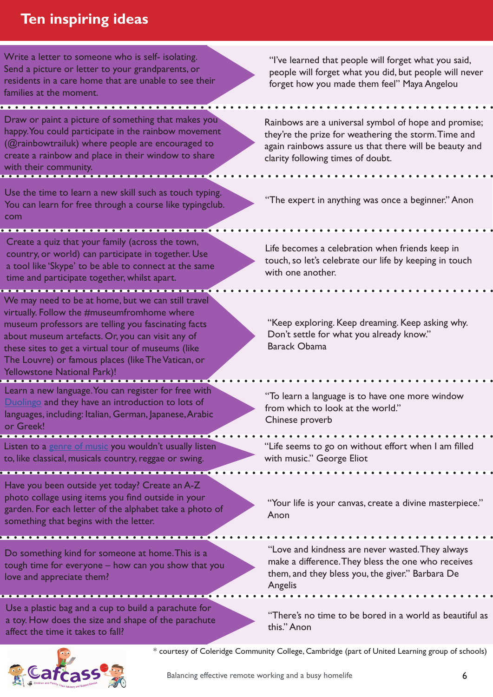# **Ten inspiring ideas**

Write a letter to someone who is self- isolating. Send a picture or letter to your grandparents, or residents in a care home that are unable to see their families at the moment.

Draw or paint a picture of something that makes you happy. You could participate in the rainbow movement (@rainbowtrailuk) where people are encouraged to create a rainbow and place in their window to share with their community.

Use the time to learn a new skill such as touch typing. You can learn for free through a course like typingclub. com

Create a quiz that your family (across the town, country, or world) can participate in together. Use a tool like 'Skype' to be able to connect at the same time and participate together, whilst apart.

We may need to be at home, but we can still travel virtually. Follow the #museumfromhome where museum professors are telling you fascinating facts about museum artefacts. Or, you can visit any of these sites to get a virtual tour of museums (like The Louvre) or famous places (like The Vatican, or Yellowstone National Park)!

Learn a new language. You can register for free with [Duolingo](https://www.duolingo.com/register) and they have an introduction to lots of languages, including: Italian, German, Japanese, Arabic or Greek!

Listen to a [genre of music](https://www.broadwayhd.com/) you wouldn't usually listen to, like classical, musicals country, reggae or swing.

. . . . . . .

. . . . . . . . . . .

Have you been outside yet today? Create an A-Z photo collage using items you find outside in your garden. For each letter of the alphabet take a photo of something that begins with the letter.

Do something kind for someone at home. This is a tough time for everyone – how can you show that you love and appreciate them?

Use a plastic bag and a cup to build a parachute for a toy. How does the size and shape of the parachute affect the time it takes to fall?



"I've learned that people will forget what you said, people will forget what you did, but people will never forget how you made them feel" Maya Angelou

Rainbows are a universal symbol of hope and promise; they're the prize for weathering the storm. Time and again rainbows assure us that there will be beauty and clarity following times of doubt.

. . . . . . . . . . . . . . . . . .

"The expert in anything was once a beginner." Anon

Life becomes a celebration when friends keep in touch, so let's celebrate our life by keeping in touch with one another.

"Keep exploring. Keep dreaming. Keep asking why. Don't settle for what you already know." Barack Obama

"To learn a language is to have one more window from which to look at the world." Chinese proverb

"Life seems to go on without effort when I am filled with music." George Eliot

"Your life is your canvas, create a divine masterpiece." Anon

"Love and kindness are never wasted. They always make a difference. They bless the one who receives them, and they bless you, the giver." Barbara De Angelis

"There's no time to be bored in a world as beautiful as this." Anon

\* courtesy of Coleridge Community College, Cambridge (part of United Learning group of schools)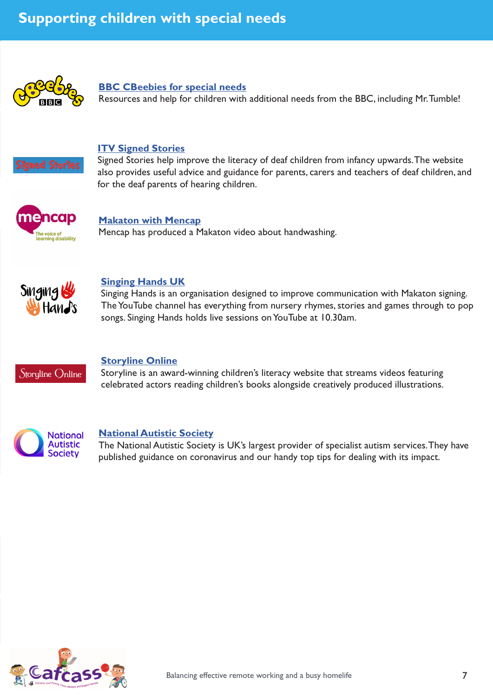

#### **[BBC CBeebies for special needs](https://www.bbc.co.uk/cbeebies/grownups/sen-the-equality-act)**

Resources and help for children with additional needs from the BBC, including Mr. Tumble!



#### **[ITV Signed Stories](https://www.signedstories.com/)**

Signed Stories help improve the literacy of deaf children from infancy upwards. The website also provides useful advice and guidance for parents, carers and teachers of deaf children, and for the deaf parents of hearing children.



#### **[Makaton with Mencap](https://youtu.be/5N2JL1G2mzk)**

Mencap has produced a Makaton video about handwashing.



#### **[Singing Hands UK](https://www.youtube.com/user/SingingHandsUK)**

Singing Hands is an organisation designed to improve communication with Makaton signing. The YouTube channel has everything from nursery rhymes, stories and games through to pop songs. Singing Hands holds live sessions on YouTube at 10.30am.



#### **[Storyline Online](https://www.storylineonline.net/)**

Storyline is an award-winning children's literacy website that streams videos featuring celebrated actors reading children's books alongside creatively produced illustrations.



#### **[National Autistic Society](https://www.autism.org.uk/services/helplines/coronavirus/resources.aspx)**

The National Autistic Society is UK's largest provider of specialist autism services. They have published guidance on coronavirus and our handy top tips for dealing with its impact.

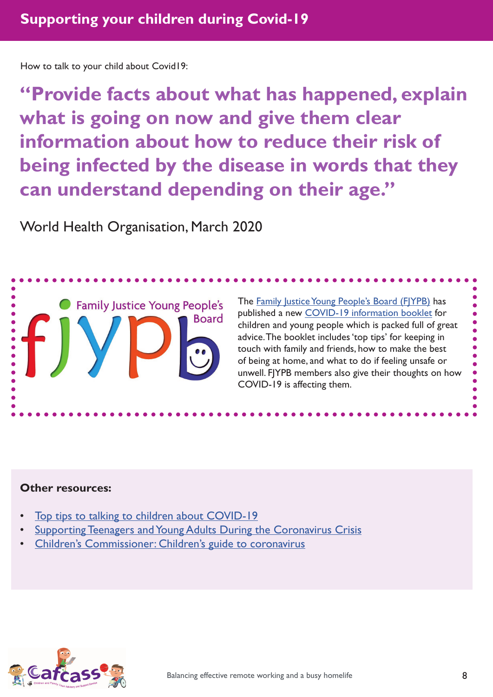How to talk to your child about Covid19:

**"Provide facts about what has happened, explain what is going on now and give them clear information about how to reduce their risk of being infected by the disease in words that they can understand depending on their age."**

World Health Organisation, March 2020



The [Family Justice Young People's Board \(FJYPB\)](https://www.cafcass.gov.uk/family-justice-young-peoples-board/) has published a new [COVID-19 information booklet](https://www.cafcass.gov.uk/young-people/) for children and young people which is packed full of great advice. The booklet includes 'top tips' for keeping in touch with family and friends, how to make the best of being at home, and what to do if feeling unsafe or unwell. FJYPB members also give their thoughts on how COVID-19 is affecting them.

## **Other resources:**

- [Top tips to talking to children about COVID-19](https://youngminds.org.uk/blog/talking-to-your-child-about-coronavirus/#ten-tips-from-our-parents-helpline)
- [Supporting Teenagers and Young Adults During the Coronavirus Crisis](https://childmind.org/article/supporting-teenagers-and-young-adults-during-the-coronavirus-crisis/)
- [Children's Commissioner: Children's guide to coronavirus](https://www.childrenscommissioner.gov.uk/publication/childrens-guide-to-coronavirus/)

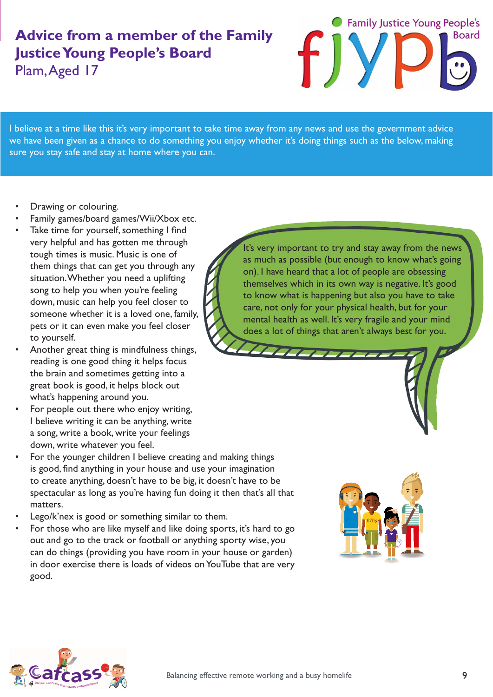# **Advice from a member of the Family Justice Young People's Board** Plam, Aged 17



I believe at a time like this it's very important to take time away from any news and use the government advice we have been given as a chance to do something you enjoy whether it's doing things such as the below, making sure you stay safe and stay at home where you can.

- Drawing or colouring.
- Family games/board games/Wii/Xbox etc.
- Take time for yourself, something I find very helpful and has gotten me through tough times is music. Music is one of them things that can get you through any situation. Whether you need a uplifting song to help you when you're feeling down, music can help you feel closer to someone whether it is a loved one, family, pets or it can even make you feel closer to yourself.
- Another great thing is mindfulness things, reading is one good thing it helps focus the brain and sometimes getting into a great book is good, it helps block out what's happening around you.
- For people out there who enjoy writing, I believe writing it can be anything, write a song, write a book, write your feelings down, write whatever you feel.
- For the younger children I believe creating and making things is good, find anything in your house and use your imagination to create anything, doesn't have to be big, it doesn't have to be spectacular as long as you're having fun doing it then that's all that matters.
- Lego/k'nex is good or something similar to them.
- For those who are like myself and like doing sports, it's hard to go out and go to the track or football or anything sporty wise, you can do things (providing you have room in your house or garden) in door exercise there is loads of videos on YouTube that are very good.

It's very important to try and stay away from the news as much as possible (but enough to know what's going on). I have heard that a lot of people are obsessing themselves which in its own way is negative. It's good to know what is happening but also you have to take care, not only for your physical health, but for your mental health as well. It's very fragile and your mind does a lot of things that aren't always best for you.



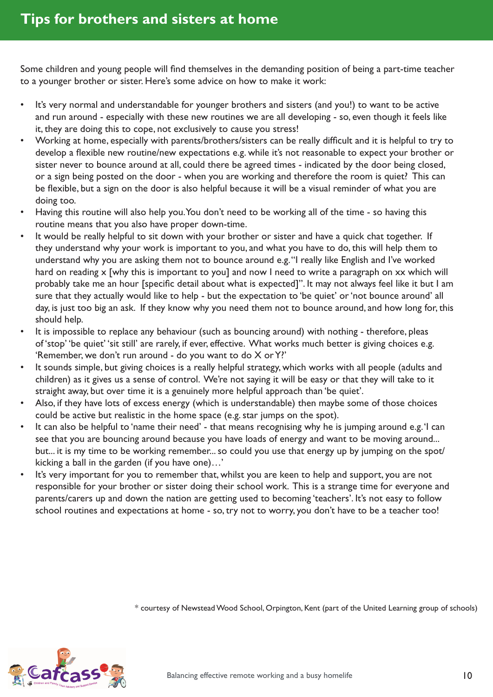Some children and young people will find themselves in the demanding position of being a part-time teacher to a younger brother or sister. Here's some advice on how to make it work:

- It's very normal and understandable for younger brothers and sisters (and you!) to want to be active and run around - especially with these new routines we are all developing - so, even though it feels like it, they are doing this to cope, not exclusively to cause you stress!
- Working at home, especially with parents/brothers/sisters can be really difficult and it is helpful to try to develop a flexible new routine/new expectations e.g. while it's not reasonable to expect your brother or sister never to bounce around at all, could there be agreed times - indicated by the door being closed, or a sign being posted on the door - when you are working and therefore the room is quiet? This can be flexible, but a sign on the door is also helpful because it will be a visual reminder of what you are doing too.
- Having this routine will also help you. You don't need to be working all of the time so having this routine means that you also have proper down-time.
- It would be really helpful to sit down with your brother or sister and have a quick chat together. If they understand why your work is important to you, and what you have to do, this will help them to understand why you are asking them not to bounce around e.g. "I really like English and I've worked hard on reading x [why this is important to you] and now I need to write a paragraph on xx which will probably take me an hour [specific detail about what is expected]". It may not always feel like it but I am sure that they actually would like to help - but the expectation to 'be quiet' or 'not bounce around' all day, is just too big an ask. If they know why you need them not to bounce around, and how long for, this should help.
- It is impossible to replace any behaviour (such as bouncing around) with nothing therefore, pleas of 'stop' 'be quiet' 'sit still' are rarely, if ever, effective. What works much better is giving choices e.g. 'Remember, we don't run around - do you want to do X or Y?'
- It sounds simple, but giving choices is a really helpful strategy, which works with all people (adults and children) as it gives us a sense of control. We're not saying it will be easy or that they will take to it straight away, but over time it is a genuinely more helpful approach than 'be quiet'.
- Also, if they have lots of excess energy (which is understandable) then maybe some of those choices could be active but realistic in the home space (e.g. star jumps on the spot).
- It can also be helpful to 'name their need' that means recognising why he is jumping around e.g. 'I can see that you are bouncing around because you have loads of energy and want to be moving around... but... it is my time to be working remember... so could you use that energy up by jumping on the spot/ kicking a ball in the garden (if you have one)…'
- It's very important for you to remember that, whilst you are keen to help and support, you are not responsible for your brother or sister doing their school work. This is a strange time for everyone and parents/carers up and down the nation are getting used to becoming 'teachers'. It's not easy to follow school routines and expectations at home - so, try not to worry, you don't have to be a teacher too!

\* courtesy of Newstead Wood School, Orpington, Kent (part of the United Learning group of schools)